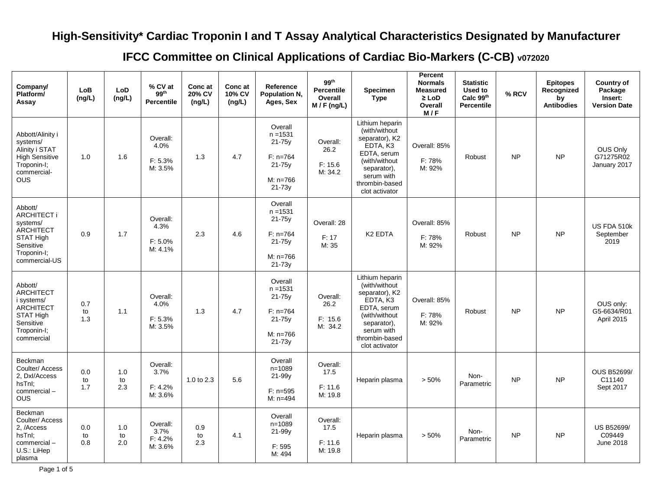## **High-Sensitivity\* Cardiac Troponin I and T Assay Analytical Characteristics Designated by Manufacturer**

**IFCC Committee on Clinical Applications of Cardiac Bio-Markers (C-CB) v072020**

| Company/<br>Platform/<br>Assay                                                                                              | LoB<br>(ng/L)    | LoD<br>(ng/L)    | % CV at<br>99 <sup>th</sup><br><b>Percentile</b> | Conc at<br>20% CV<br>(ng/L) | Conc at<br>10% CV<br>(ng/L) | Reference<br>Population N,<br>Ages, Sex                                                 | 99 <sup>th</sup><br><b>Percentile</b><br>Overall<br>$M / F$ (ng/L) | <b>Specimen</b><br><b>Type</b>                                                                                                                                  | Percent<br><b>Normals</b><br><b>Measured</b><br>$\geq$ LoD<br>Overall<br>M/F | <b>Statistic</b><br>Used to<br>Calc 99th<br><b>Percentile</b> | % RCV     | <b>Epitopes</b><br>Recognized<br>by<br><b>Antibodies</b> | <b>Country of</b><br>Package<br>Insert:<br><b>Version Date</b> |
|-----------------------------------------------------------------------------------------------------------------------------|------------------|------------------|--------------------------------------------------|-----------------------------|-----------------------------|-----------------------------------------------------------------------------------------|--------------------------------------------------------------------|-----------------------------------------------------------------------------------------------------------------------------------------------------------------|------------------------------------------------------------------------------|---------------------------------------------------------------|-----------|----------------------------------------------------------|----------------------------------------------------------------|
| Abbott/Alinity i<br>systems/<br>Alinity i STAT<br>High Sensitive<br>Troponin-I;<br>commercial-<br><b>OUS</b>                | 1.0              | 1.6              | Overall:<br>4.0%<br>F: 5.3%<br>M: 3.5%           | 1.3                         | 4.7                         | Overall<br>$n = 1531$<br>$21-75y$<br>$F: n=764$<br>$21 - 75y$<br>M: n=766<br>$21 - 73y$ | Overall:<br>26.2<br>F: 15.6<br>M: 34.2                             | Lithium heparin<br>(with/without<br>separator), K2<br>EDTA, K3<br>EDTA, serum<br>(with/without<br>separator),<br>serum with<br>thrombin-based<br>clot activator | Overall: 85%<br>F: 78%<br>M: 92%                                             | Robust                                                        | <b>NP</b> | <b>NP</b>                                                | OUS Only<br>G71275R02<br>January 2017                          |
| Abbott/<br><b>ARCHITECT i</b><br>systems/<br>ARCHITECT<br>STAT High<br>Sensitive<br>Troponin-I;<br>commercial-US            | 0.9              | 1.7              | Overall:<br>4.3%<br>F: 5.0%<br>M: 4.1%           | 2.3                         | 4.6                         | Overall<br>$n = 1531$<br>$21 - 75y$<br>$F: n=764$<br>$21 - 75y$<br>M: n=766<br>21-73y   | Overall: 28<br>F: 17<br>M: 35                                      | K <sub>2</sub> EDTA                                                                                                                                             | Overall: 85%<br>F: 78%<br>M: 92%                                             | Robust                                                        | <b>NP</b> | <b>NP</b>                                                | US FDA 510k<br>September<br>2019                               |
| Abbott/<br><b>ARCHITECT</b><br>i systems/<br><b>ARCHITECT</b><br><b>STAT High</b><br>Sensitive<br>Troponin-I;<br>commercial | 0.7<br>to<br>1.3 | 1.1              | Overall:<br>4.0%<br>F: 5.3%<br>M: 3.5%           | 1.3                         | 4.7                         | Overall<br>$n = 1531$<br>21-75y<br>$F: n=764$<br>$21 - 75y$<br>M: n=766<br>$21 - 73y$   | Overall:<br>26.2<br>F: 15.6<br>M: 34.2                             | Lithium heparin<br>(with/without<br>separator), K2<br>EDTA, K3<br>EDTA, serum<br>(with/without<br>separator),<br>serum with<br>thrombin-based<br>clot activator | Overall: 85%<br>F: 78%<br>M: 92%                                             | Robust                                                        | <b>NP</b> | <b>NP</b>                                                | OUS only:<br>G5-6634/R01<br>April 2015                         |
| Beckman<br>Coulter/ Access<br>2, Dxl/Access<br>hsTnI;<br>commercial-<br><b>OUS</b>                                          | 0.0<br>to<br>1.7 | 1.0<br>to<br>2.3 | Overall:<br>3.7%<br>F: 4.2%<br>M: 3.6%           | 1.0 to $2.3$                | 5.6                         | Overall<br>$n = 1089$<br>21-99y<br>$F: n=595$<br>$M: n=494$                             | Overall:<br>17.5<br>F: 11.6<br>M: 19.8                             | Heparin plasma                                                                                                                                                  | > 50%                                                                        | Non-<br>Parametric                                            | <b>NP</b> | <b>NP</b>                                                | <b>OUS B52699/</b><br>C11140<br>Sept 2017                      |
| Beckman<br>Coulter/ Access<br>2, /Access<br>hsTnl:<br>commercial-<br>U.S.: LiHep<br>plasma                                  | 0.0<br>to<br>0.8 | 1.0<br>to<br>2.0 | Overall:<br>3.7%<br>F: 4.2%<br>M: 3.6%           | 0.9<br>to<br>2.3            | 4.1                         | Overall<br>$n = 1089$<br>21-99y<br>F: 595<br>M: 494                                     | Overall:<br>17.5<br>F: 11.6<br>M: 19.8                             | Heparin plasma                                                                                                                                                  | > 50%                                                                        | Non-<br>Parametric                                            | <b>NP</b> | <b>NP</b>                                                | US B52699/<br>C09449<br>June 2018                              |

Page 1 of 5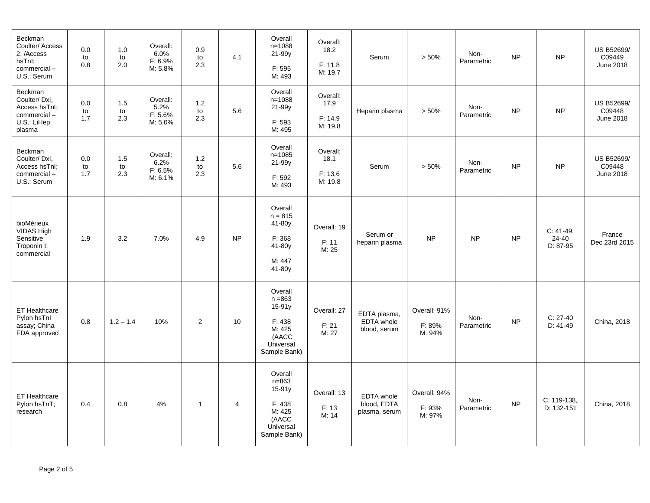| <b>Beckman</b><br>Coulter/ Access<br>2. /Access<br>hsTnl;<br>commercial-<br>U.S.: Serum | 0.0<br>to<br>0.8 | 1.0<br>to<br>2.0 | Overall:<br>6.0%<br>F: 6.9%<br>M: 5.8% | 0.9<br>to<br>2.3   | 4.1            | Overall<br>$n = 1088$<br>21-99y<br>F: 595<br>M: 493                                        | Overall:<br>18.2<br>F: 11.8<br>M: 19.7 | Serum                                      | > 50%                            | Non-<br>Parametric | <b>NP</b> | <b>NP</b>                        | <b>US B52699/</b><br>C09449<br><b>June 2018</b> |
|-----------------------------------------------------------------------------------------|------------------|------------------|----------------------------------------|--------------------|----------------|--------------------------------------------------------------------------------------------|----------------------------------------|--------------------------------------------|----------------------------------|--------------------|-----------|----------------------------------|-------------------------------------------------|
| Beckman<br>Coulter/Dxl,<br>Access hsTnl;<br>commercial-<br>U.S.: LiHep<br>plasma        | 0.0<br>to<br>1.7 | 1.5<br>to<br>2.3 | Overall:<br>5.2%<br>F: 5.6%<br>M: 5.0% | $1.2$<br>to<br>2.3 | 5.6            | Overall<br>$n = 1088$<br>21-99y<br>F: 593<br>M: 495                                        | Overall:<br>17.9<br>F: 14.9<br>M: 19.8 | Heparin plasma                             | > 50%                            | Non-<br>Parametric | <b>NP</b> | <b>NP</b>                        | US B52699/<br>C09448<br><b>June 2018</b>        |
| Beckman<br>Coulter/Dxl,<br>Access hsTnl:<br>commercial-<br>U.S.: Serum                  | 0.0<br>to<br>1.7 | 1.5<br>to<br>2.3 | Overall:<br>6.2%<br>F: 6.5%<br>M: 6.1% | 1.2<br>to<br>2.3   | 5.6            | Overall<br>$n = 1085$<br>21-99y<br>F: 592<br>M: 493                                        | Overall:<br>18.1<br>F: 13.6<br>M: 19.8 | Serum                                      | > 50%                            | Non-<br>Parametric | <b>NP</b> | <b>NP</b>                        | US B52699/<br>C09448<br><b>June 2018</b>        |
| bioMérieux<br>VIDAS High<br>Sensitive<br>Troponin I;<br>commercial                      | 1.9              | 3.2              | 7.0%                                   | 4.9                | <b>NP</b>      | Overall<br>$n = 815$<br>$41-80y$<br>F: 368<br>41-80y<br>M: 447<br>41-80y                   | Overall: 19<br>F: 11<br>M: 25          | Serum or<br>heparin plasma                 | <b>NP</b>                        | <b>NP</b>          | <b>NP</b> | $C: 41-49.$<br>24-40<br>D: 87-95 | France<br>Dec 23rd 2015                         |
| ET Healthcare<br>Pylon hsTnl<br>assay; China<br>FDA approved                            | 0.8              | $1.2 - 1.4$      | 10%                                    | $\overline{2}$     | 10             | Overall<br>$n = 863$<br>15-91y<br>F: 438<br>M: 425<br>(AACC<br>Universal<br>Sample Bank)   | Overall: 27<br>F: 21<br>M: 27          | EDTA plasma,<br>EDTA whole<br>blood, serum | Overall: 91%<br>F: 89%<br>M: 94% | Non-<br>Parametric | <b>NP</b> | $C: 27-40$<br>$D: 41-49$         | China, 2018                                     |
| <b>ET Healthcare</b><br>Pylon hsTnT;<br>research                                        | 0.4              | 0.8              | 4%                                     | $\overline{1}$     | $\overline{4}$ | Overall<br>$n = 863$<br>$15-91y$<br>F: 438<br>M: 425<br>(AACC<br>Universal<br>Sample Bank) | Overall: 13<br>F: 13<br>M: 14          | EDTA whole<br>blood, EDTA<br>plasma, serum | Overall: 94%<br>F: 93%<br>M: 97% | Non-<br>Parametric | <b>NP</b> | C: 119-138.<br>D: 132-151        | China, 2018                                     |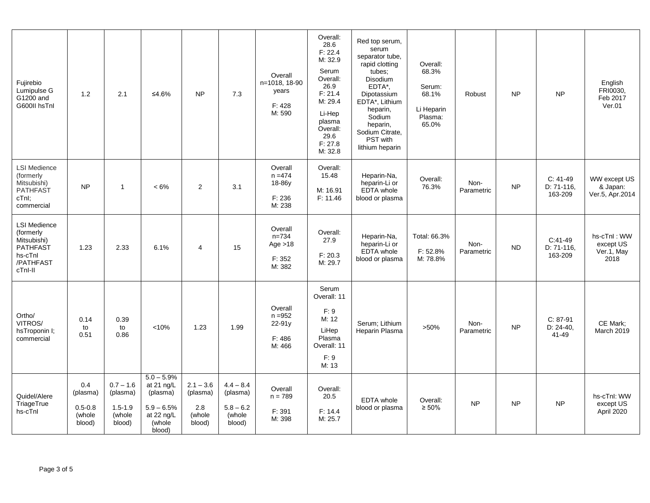| Fujirebio<br>Lumipulse G<br>G1200 and<br>G600II hsTnl                                                 | 1.2                                                | 2.1                                                        | ≤4.6%                                                                                    | <b>NP</b>                                          | 7.3                                                        | Overall<br>n=1018, 18-90<br>years<br>F: 428<br>M: 590  | Overall:<br>28.6<br>F: 22.4<br>M: 32.9<br>Serum<br>Overall:<br>26.9<br>F: 21.4<br>M: 29.4<br>Li-Hep<br>plasma<br>Overall:<br>29.6<br>F: 27.8<br>M: 32.8 | Red top serum.<br>serum<br>separator tube,<br>rapid clotting<br>tubes;<br>Disodium<br>EDTA*,<br>Dipotassium<br>EDTA*, Lithium<br>heparin,<br>Sodium<br>heparin,<br>Sodium Citrate,<br>PST with<br>lithium heparin | Overall:<br>68.3%<br>Serum:<br>68.1%<br>Li Heparin<br>Plasma:<br>65.0% | Robust             | <b>NP</b> | <b>NP</b>                            | English<br>FRI0030,<br>Feb 2017<br>Ver.01      |
|-------------------------------------------------------------------------------------------------------|----------------------------------------------------|------------------------------------------------------------|------------------------------------------------------------------------------------------|----------------------------------------------------|------------------------------------------------------------|--------------------------------------------------------|---------------------------------------------------------------------------------------------------------------------------------------------------------|-------------------------------------------------------------------------------------------------------------------------------------------------------------------------------------------------------------------|------------------------------------------------------------------------|--------------------|-----------|--------------------------------------|------------------------------------------------|
| <b>LSI Medience</b><br>(formerly<br>Mitsubishi)<br><b>PATHFAST</b><br>cTnl;<br>commercial             | <b>NP</b>                                          | $\mathbf{1}$                                               | $< 6\%$                                                                                  | 2                                                  | 3.1                                                        | Overall<br>$n = 474$<br>18-86y<br>F: 236<br>M: 238     | Overall:<br>15.48<br>M: 16.91<br>F: 11.46                                                                                                               | Heparin-Na,<br>heparin-Li or<br>EDTA whole<br>blood or plasma                                                                                                                                                     | Overall:<br>76.3%                                                      | Non-<br>Parametric | <b>NP</b> | $C: 41-49$<br>$D: 71-116$<br>163-209 | WW except US<br>& Japan:<br>Ver.5, Apr.2014    |
| <b>LSI Medience</b><br>(formerly<br>Mitsubishi)<br><b>PATHFAST</b><br>hs-cTnl<br>/PATHFAST<br>cTnl-II | 1.23                                               | 2.33                                                       | 6.1%                                                                                     | 4                                                  | 15                                                         | Overall<br>$n = 734$<br>Age $>18$<br>F: 352<br>M: 382  | Overall:<br>27.9<br>F: 20.3<br>M: 29.7                                                                                                                  | Heparin-Na,<br>heparin-Li or<br><b>EDTA</b> whole<br>blood or plasma                                                                                                                                              | Total: 66.3%<br>F: 52.8%<br>M: 78.8%                                   | Non-<br>Parametric | <b>ND</b> | $C:41-49$<br>D: 71-116.<br>163-209   | hs-cTnl: WW<br>except US<br>Ver.1, May<br>2018 |
| Ortho/<br>VITROS/<br>hsTroponin I;<br>commercial                                                      | 0.14<br>to<br>0.51                                 | 0.39<br>to<br>0.86                                         | < 10%                                                                                    | 1.23                                               | 1.99                                                       | Overall<br>$n = 952$<br>$22 - 91y$<br>F: 486<br>M: 466 | Serum<br>Overall: 11<br>F: 9<br>M: 12<br>LiHep<br>Plasma<br>Overall: 11<br>F: 9<br>M: 13                                                                | Serum: Lithium<br>Heparin Plasma                                                                                                                                                                                  | $>50\%$                                                                | Non-<br>Parametric | <b>NP</b> | $C: 87-91$<br>$D: 24-40,$<br>41-49   | CE Mark:<br><b>March 2019</b>                  |
| Quidel/Alere<br>TriageTrue<br>hs-cTnl                                                                 | 0.4<br>(plasma)<br>$0.5 - 0.8$<br>(whole<br>blood) | $0.7 - 1.6$<br>(plasma)<br>$1.5 - 1.9$<br>(whole<br>blood) | $5.0 - 5.9%$<br>at 21 ng/L<br>(plasma)<br>$5.9 - 6.5%$<br>at 22 ng/L<br>(whole<br>blood) | $2.1 - 3.6$<br>(plasma)<br>2.8<br>(whole<br>blood) | $4.4 - 8.4$<br>(plasma)<br>$5.8 - 6.2$<br>(whole<br>blood) | Overall<br>$n = 789$<br>F: 391<br>M: 398               | Overall:<br>20.5<br>F: 14.4<br>M: 25.7                                                                                                                  | <b>EDTA</b> whole<br>blood or plasma                                                                                                                                                                              | Overall:<br>$\geq 50\%$                                                | <b>NP</b>          | <b>NP</b> | <b>NP</b>                            | hs-cTnl: WW<br>except US<br>April 2020         |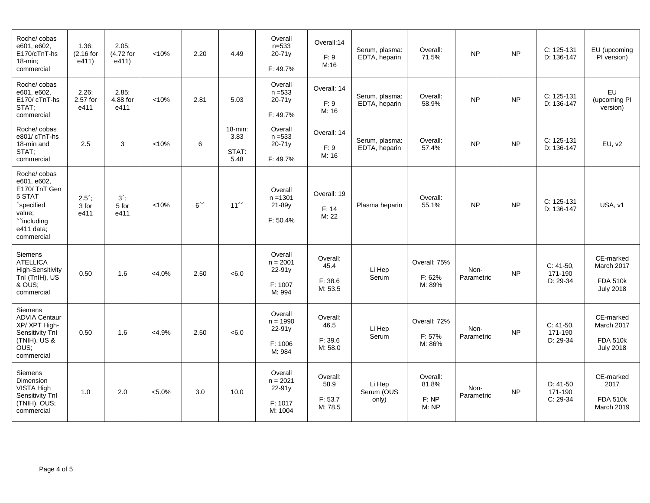| Roche/ cobas<br>e601, e602,<br>E170/cTnT-hs<br>$18$ -min;<br>commercial                                                                          | 1.36;<br>$(2.16$ for<br>e411)    | 2.05;<br>(4.72 for<br>e411)     | < 10%     | 2.20               | 4.49                                | Overall<br>$n = 533$<br>20-71y<br>F: 49.7%                | Overall:14<br>F: 9<br>M:16             | Serum, plasma:<br>EDTA, heparin | Overall:<br>71.5%                   | <b>NP</b>          | <b>NP</b> | C: 125-131<br>D: 136-147             | EU (upcoming<br>PI version)                                    |
|--------------------------------------------------------------------------------------------------------------------------------------------------|----------------------------------|---------------------------------|-----------|--------------------|-------------------------------------|-----------------------------------------------------------|----------------------------------------|---------------------------------|-------------------------------------|--------------------|-----------|--------------------------------------|----------------------------------------------------------------|
| Roche/cobas<br>e601, e602,<br>E170/cTnT-hs<br>STAT:<br>commercial                                                                                | 2.26;<br>2.57 for<br>e411        | 2.85;<br>4.88 for<br>e411       | < 10%     | 2.81               | 5.03                                | Overall<br>$n = 533$<br>20-71y<br>F: 49.7%                | Overall: 14<br>F: 9<br>M: 16           | Serum, plasma:<br>EDTA, heparin | Overall:<br>58.9%                   | <b>NP</b>          | <b>NP</b> | C: 125-131<br>D: 136-147             | EU<br>(upcoming PI<br>version)                                 |
| Roche/ cobas<br>e801/cTnT-hs<br>18-min and<br>STAT;<br>commercial                                                                                | 2.5                              | 3                               | < 10%     | 6                  | $18$ -min:<br>3.83<br>STAT:<br>5.48 | Overall<br>$n = 533$<br>20-71y<br>F: 49.7%                | Overall: 14<br>F: 9<br>M: 16           | Serum, plasma:<br>EDTA, heparin | Overall:<br>57.4%                   | <b>NP</b>          | <b>NP</b> | $C: 125-131$<br>D: 136-147           | EU, v2                                                         |
| Roche/ cobas<br>e601, e602,<br>E170/TnT Gen<br>5 STAT<br><sup>^</sup> specified<br>value;<br><sup>^^</sup> including<br>e411 data;<br>commercial | $2.5^{\circ}$ ;<br>3 for<br>e411 | $3^{\wedge}$ ;<br>5 for<br>e411 | < 10%     | $6^{\wedge\wedge}$ | $11^{\wedge\wedge}$                 | Overall<br>$n = 1301$<br>21-89y<br>F: 50.4%               | Overall: 19<br>F: 14<br>M: 22          | Plasma heparin                  | Overall:<br>55.1%                   | <b>NP</b>          | <b>NP</b> | C: 125-131<br>D: 136-147             | USA, v1                                                        |
| Siemens<br><b>ATELLICA</b><br><b>High-Sensitivity</b><br>Tnl (TnlH), US<br>& OUS;<br>commercial                                                  | 0.50                             | 1.6                             | $<4.0\%$  | 2.50               | < 6.0                               | Overall<br>$n = 2001$<br>$22 - 91y$<br>F: 1007<br>M: 994  | Overall:<br>45.4<br>F: 38.6<br>M: 53.5 | Li Hep<br>Serum                 | Overall: 75%<br>F: 62%<br>M: 89%    | Non-<br>Parametric | <b>NP</b> | $C: 41-50,$<br>171-190<br>$D: 29-34$ | CE-marked<br>March 2017<br><b>FDA 510k</b><br><b>July 2018</b> |
| Siemens<br><b>ADVIA Centaur</b><br>XP/XPT High-<br>Sensitivity Tnl<br>(TNIH), US &<br>OUS:<br>commercial                                         | 0.50                             | 1.6                             | $<$ 4.9%  | 2.50               | < 6.0                               | Overall<br>$n = 1990$<br>$22 - 91y$<br>F: 1006<br>M: 984  | Overall:<br>46.5<br>F: 39.6<br>M: 58.0 | Li Hep<br>Serum                 | Overall: 72%<br>F: 57%<br>M: 86%    | Non-<br>Parametric | <b>NP</b> | $C: 41-50$ ,<br>171-190<br>D: 29-34  | CE-marked<br>March 2017<br><b>FDA 510k</b><br><b>July 2018</b> |
| Siemens<br>Dimension<br>VISTA High<br>Sensitivity Tnl<br>(TNIH), OUS;<br>commercial                                                              | 1.0                              | 2.0                             | $< 5.0\%$ | 3.0                | 10.0                                | Overall<br>$n = 2021$<br>$22 - 91y$<br>F: 1017<br>M: 1004 | Overall:<br>58.9<br>F: 53.7<br>M: 78.5 | Li Hep<br>Serum (OUS<br>only)   | Overall:<br>81.8%<br>F: NP<br>M: NP | Non-<br>Parametric | <b>NP</b> | $D: 41-50$<br>171-190<br>$C: 29-34$  | CE-marked<br>2017<br><b>FDA 510k</b><br><b>March 2019</b>      |